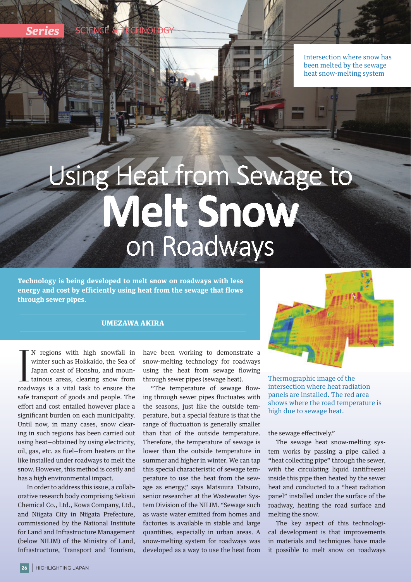Intersection where snow has been melted by the sewage heat snow-melting system

## Using Heat from Sewage to **Melt Snow** on Roadways

**Technology is being developed to melt snow on roadways with less energy and cost by efficiently using heat from the sewage that flows through sewer pipes.**

## UMEZAWA AKIRA



I N regions with high snowfall in winter such as Hokkaido, the Sea of Japan coast of Honshu, and mountainous areas, clearing snow from roadways is a vital task to ensure the N regions with high snowfall in winter such as Hokkaido, the Sea of Japan coast of Honshu, and mountainous areas, clearing snow from safe transport of goods and people. The effort and cost entailed however place a significant burden on each municipality. Until now, in many cases, snow clearing in such regions has been carried out using heat—obtained by using electricity, oil, gas, etc. as fuel—from heaters or the like installed under roadways to melt the snow. However, this method is costly and has a high environmental impact.

 In order to address this issue, a collaborative research body comprising Sekisui Chemical Co., Ltd., Kowa Company, Ltd., and Niigata City in Niigata Prefecture, commissioned by the National Institute for Land and Infrastructure Management (below NILIM) of the Ministry of Land, Infrastructure, Transport and Tourism,

have been working to demonstrate a snow-melting technology for roadways using the heat from sewage flowing through sewer pipes (sewage heat).

"The temperature of sewage flowing through sewer pipes fluctuates with the seasons, just like the outside temperature, but a special feature is that the range of fluctuation is generally smaller than that of the outside temperature. Therefore, the temperature of sewage is lower than the outside temperature in summer and higher in winter. We can tap this special characteristic of sewage temperature to use the heat from the sewage as energy," says Matsuura Tatsuro, senior researcher at the Wastewater System Division of the NILIM. "Sewage such as waste water emitted from homes and factories is available in stable and large quantities, especially in urban areas. A snow-melting system for roadways was developed as a way to use the heat from

Thermographic image of the intersection where heat radiation panels are installed. The red area shows where the road temperature is high due to sewage heat.

the sewage effectively."

The sewage heat snow-melting system works by passing a pipe called a "heat collecting pipe" through the sewer, with the circulating liquid (antifreeze) inside this pipe then heated by the sewer heat and conducted to a "heat radiation panel" installed under the surface of the roadway, heating the road surface and melting the snow.

The key aspect of this technological development is that improvements in materials and techniques have made it possible to melt snow on roadways